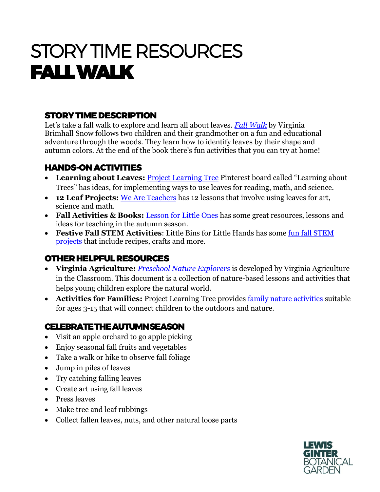# STORY TIME RESOURCES FALL WALK

## STORY TIME DESCRIPTION

Let's take a fall walk to explore and learn all about leaves. *[Fall Walk](https://www.amazon.com/Fall-Seasonal-Walks-Virginia-Brimhall/dp/1423632613)* by Virginia Brimhall Snow follows two children and their grandmother on a fun and educational adventure through the woods. They learn how to identify leaves by their shape and autumn colors. At the end of the book there's fun activities that you can try at home!

#### HANDS-ON ACTIVITIES

- **Learning about Leaves:** [Project Learning Tree](https://www.pinterest.com/nationalplt/learning-about-leaves/) Pinterest board called "Learning about Trees" has ideas, for implementing ways to use leaves for reading, math, and science.
- **12 Leaf Projects:** [We Are Teachers](https://www.weareteachers.com/leaf-projects-for-the-classroom/) has 12 lessons that involve using leaves for art, science and math.
- **Fall Activities & Books:** [Lesson for Little Ones](https://lessons4littleones.com/2016/11/05/fall-leaf-activities-books/) has some great resources, lessons and ideas for teaching in the autumn season.
- **Festive Fall STEM Activities**: Little Bins for Little Hands has some [fun fall STEM](https://littlebinsforlittlehands.com/fall-stem-activities/)  [projects](https://littlebinsforlittlehands.com/fall-stem-activities/) that include recipes, crafts and more.

## OTHER HELPFUL RESOURCES

- **Virginia Agriculture:** *[Preschool Nature Explorers](https://agclassroom.org/va/teachers/lesson_subject/nature.pdf)* is developed by Virginia Agriculture in the Classroom. This document is a collection of nature-based lessons and activities that helps young children explore the natural world.
- **Activities for Families:** Project Learning Tree provides [family nature activities](https://www.plt.org/activities-for-families/) suitable for ages 3-15 that will connect children to the outdoors and nature.

### CELEBRATE THE AUTUMN SEASON

- Visit an apple orchard to go apple picking
- Enjoy seasonal fall fruits and vegetables
- Take a walk or hike to observe fall foliage
- Jump in piles of leaves
- Try catching falling leaves
- Create art using fall leaves
- Press leaves
- Make tree and leaf rubbings
- Collect fallen leaves, nuts, and other natural loose parts